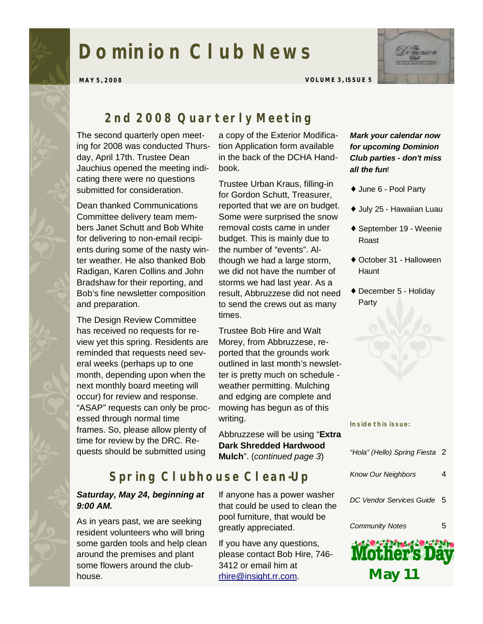# **Dominion Club News**



**MAY 5, 2008 VOLUME 3, ISSUE 5** 

# *2nd 2008 Quarterly Meeting*

The second quarterly open meeting for 2008 was conducted Thursday, April 17th. Trustee Dean Jauchius opened the meeting indicating there were no questions submitted for consideration.

Dean thanked Communications Committee delivery team members Janet Schutt and Bob White for delivering to non-email recipients during some of the nasty winter weather. He also thanked Bob Radigan, Karen Collins and John Bradshaw for their reporting, and Bob's fine newsletter composition and preparation.

The Design Review Committee has received no requests for review yet this spring. Residents are reminded that requests need several weeks (perhaps up to one month, depending upon when the next monthly board meeting will occur) for review and response. "ASAP" requests can only be processed through normal time frames. So, please allow plenty of time for review by the DRC. Requests should be submitted using

a copy of the Exterior Modification Application form available in the back of the DCHA Handbook.

Trustee Urban Kraus, filling-in for Gordon Schutt, Treasurer, reported that we are on budget. Some were surprised the snow removal costs came in under budget. This is mainly due to the number of "events". Although we had a large storm, we did not have the number of storms we had last year. As a result, Abbruzzese did not need to send the crews out as many times.

Trustee Bob Hire and Walt Morey, from Abbruzzese, reported that the grounds work outlined in last month's newsletter is pretty much on schedule weather permitting. Mulching and edging are complete and mowing has begun as of this writing.

Abbruzzese will be using "**Extra Dark Shredded Hardwood Mulch**". (*continued page 3*)

## *Spring Clubhouse Clean-Up*

## *Saturday, May 24, beginning at 9:00 AM.*

As in years past, we are seeking resident volunteers who will bring some garden tools and help clean around the premises and plant some flowers around the clubhouse.

If anyone has a power washer that could be used to clean the pool furniture, that would be greatly appreciated.

If you have any questions, please contact Bob Hire, 746- 3412 or email him at [rhire@insight.rr.com.](mailto:rhire@insight.rr.com)

*Mark your calendar now for upcoming Dominion Club parties - don't miss all the fun*!

- ♦ June 6 Pool Party
- ♦ July 25 Hawaiian Luau
- ♦ September 19 Weenie Roast
- ♦ October 31 Halloween **Haunt**
- ♦ December 5 Holiday Party

| <b>Mother's Day</b>            |   |
|--------------------------------|---|
| <b>Community Notes</b>         | 5 |
| DC Vendor Services Guide       | 5 |
| <b>Know Our Neighbors</b>      | 4 |
| "Hola" (Hello) Spring Fiesta 2 |   |
|                                |   |

**May 11** 

**Inside this issue:**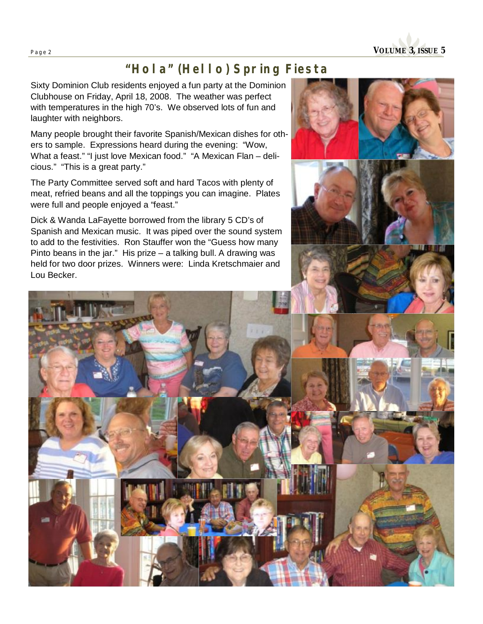**Page <sup>2</sup>VOLUME 3, ISSUE 5** 

# *"Hola" (Hello) Spring Fiesta*

Sixty Dominion Club residents enjoyed a fun party at the Dominion Clubhouse on Friday, April 18, 2008. The weather was perfect with temperatures in the high 70's. We observed lots of fun and laughter with neighbors.

Many people brought their favorite Spanish/Mexican dishes for others to sample. Expressions heard during the evening: "Wow, What a feast." "I just love Mexican food." "A Mexican Flan – delicious." "This is a great party."

The Party Committee served soft and hard Tacos with plenty of meat, refried beans and all the toppings you can imagine. Plates were full and people enjoyed a "feast."

Dick & Wanda LaFayette borrowed from the library 5 CD's of Spanish and Mexican music. It was piped over the sound system to add to the festivities. Ron Stauffer won the "Guess how many Pinto beans in the jar." His prize – a talking bull. A drawing was held for two door prizes. Winners were: Linda Kretschmaier and Lou Becker.





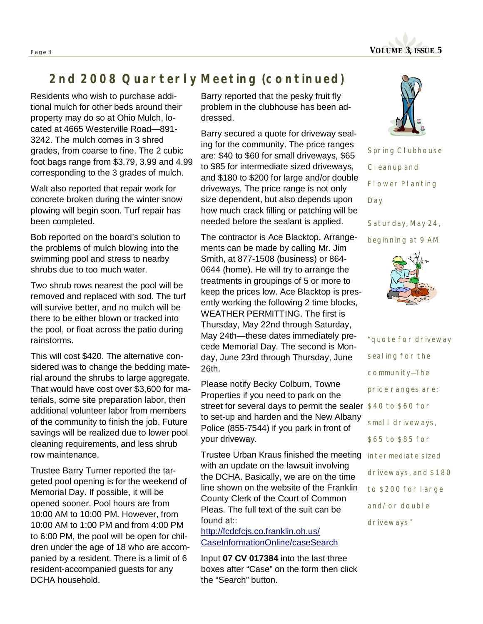

# *2nd 2008 Quarterly Meeting (continued)*

Residents who wish to purchase additional mulch for other beds around their property may do so at Ohio Mulch, located at 4665 Westerville Road—891- 3242. The mulch comes in 3 shred grades, from coarse to fine. The 2 cubic foot bags range from \$3.79, 3.99 and 4.99 corresponding to the 3 grades of mulch.

Walt also reported that repair work for concrete broken during the winter snow plowing will begin soon. Turf repair has been completed.

Bob reported on the board's solution to the problems of mulch blowing into the swimming pool and stress to nearby shrubs due to too much water.

Two shrub rows nearest the pool will be removed and replaced with sod. The turf will survive better, and no mulch will be there to be either blown or tracked into the pool, or float across the patio during rainstorms.

This will cost \$420. The alternative considered was to change the bedding material around the shrubs to large aggregate. That would have cost over \$3,600 for materials, some site preparation labor, then additional volunteer labor from members of the community to finish the job. Future savings will be realized due to lower pool cleaning requirements, and less shrub row maintenance.

Trustee Barry Turner reported the targeted pool opening is for the weekend of Memorial Day. If possible, it will be opened sooner. Pool hours are from 10:00 AM to 10:00 PM. However, from 10:00 AM to 1:00 PM and from 4:00 PM to 6:00 PM, the pool will be open for children under the age of 18 who are accompanied by a resident. There is a limit of 6 resident-accompanied guests for any DCHA household.

Barry reported that the pesky fruit fly problem in the clubhouse has been addressed.

Barry secured a quote for driveway sealing for the community. The price ranges are: \$40 to \$60 for small driveways, \$65 to \$85 for intermediate sized driveways, and \$180 to \$200 for large and/or double driveways. The price range is not only size dependent, but also depends upon how much crack filling or patching will be needed before the sealant is applied.

The contractor is Ace Blacktop. Arrangements can be made by calling Mr. Jim Smith, at 877-1508 (business) or 864- 0644 (home). He will try to arrange the treatments in groupings of 5 or more to keep the prices low. Ace Blacktop is presently working the following 2 time blocks, WEATHER PERMITTING. The first is Thursday, May 22nd through Saturday, May 24th—these dates immediately precede Memorial Day. The second is Monday, June 23rd through Thursday, June 26th.

Please notify Becky Colburn, Towne Properties if you need to park on the street for several days to permit the sealer *\$40 to \$60 for*  to set-up and harden and the New Albany Police (855-7544) if you park in front of your driveway.

Trustee Urban Kraus finished the meeting *intermediate sized*  with an update on the lawsuit involving the DCHA. Basically, we are on the time line shown on the website of the Franklin County Clerk of the Court of Common Pleas. The full text of the suit can be found at::

<http://fcdcfcjs.co.franklin.oh.us/> CaseInformationOnline/caseSearch

Input **07 CV 017384** into the last three boxes after "Case" on the form then click the "Search" button.



*Spring Clubhouse Cleanup and Flower Planting Day* 

*Saturday, May 24, beginning at 9 AM* 



*"quote for driveway sealing for the community—The price ranges are: small driveways, \$65 to \$85 for driveways, and \$180 to \$200 for large and/or double driveways"*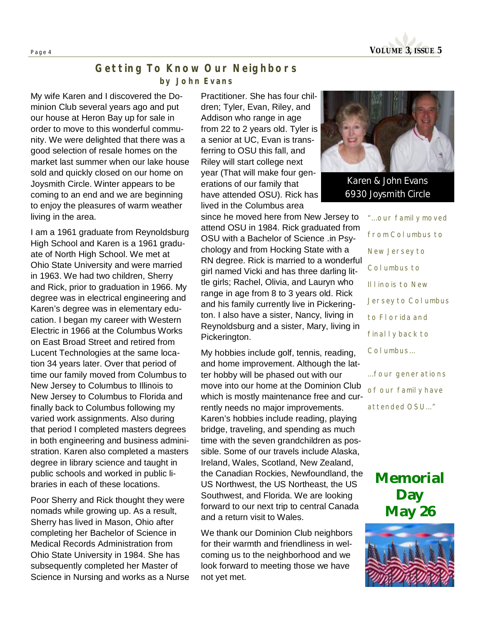**Page <sup>4</sup>VOLUME 3, ISSUE 5** 

## *Getting To Know Our Neighbors by John Evans*

My wife Karen and I discovered the Dominion Club several years ago and put our house at Heron Bay up for sale in order to move to this wonderful community. We were delighted that there was a good selection of resale homes on the market last summer when our lake house sold and quickly closed on our home on Joysmith Circle. Winter appears to be coming to an end and we are beginning to enjoy the pleasures of warm weather living in the area.

I am a 1961 graduate from Reynoldsburg High School and Karen is a 1961 graduate of North High School. We met at Ohio State University and were married in 1963. We had two children, Sherry and Rick, prior to graduation in 1966. My degree was in electrical engineering and Karen's degree was in elementary education. I began my career with Western Electric in 1966 at the Columbus Works on East Broad Street and retired from Lucent Technologies at the same location 34 years later. Over that period of time our family moved from Columbus to New Jersey to Columbus to Illinois to New Jersey to Columbus to Florida and finally back to Columbus following my varied work assignments. Also during that period I completed masters degrees in both engineering and business administration. Karen also completed a masters degree in library science and taught in public schools and worked in public libraries in each of these locations.

Poor Sherry and Rick thought they were nomads while growing up. As a result, Sherry has lived in Mason, Ohio after completing her Bachelor of Science in Medical Records Administration from Ohio State University in 1984. She has subsequently completed her Master of Science in Nursing and works as a Nurse

Practitioner. She has four children; Tyler, Evan, Riley, and Addison who range in age from 22 to 2 years old. Tyler is a senior at UC, Evan is transferring to OSU this fall, and Riley will start college next year (That will make four generations of our family that have attended OSU). Rick has lived in the Columbus area

since he moved here from New Jersey to attend OSU in 1984. Rick graduated from OSU with a Bachelor of Science .in Psychology and from Hocking State with a RN degree. Rick is married to a wonderful girl named Vicki and has three darling little girls; Rachel, Olivia, and Lauryn who range in age from 8 to 3 years old. Rick and his family currently live in Pickerington. I also have a sister, Nancy, living in Reynoldsburg and a sister, Mary, living in Pickerington.

My hobbies include golf, tennis, reading, and home improvement. Although the latter hobby will be phased out with our move into our home at the Dominion Club which is mostly maintenance free and currently needs no major improvements. Karen's hobbies include reading, playing bridge, traveling, and spending as much time with the seven grandchildren as possible. Some of our travels include Alaska, Ireland, Wales, Scotland, New Zealand, the Canadian Rockies, Newfoundland, the US Northwest, the US Northeast, the US Southwest, and Florida. We are looking forward to our next trip to central Canada and a return visit to Wales.

We thank our Dominion Club neighbors for their warmth and friendliness in welcoming us to the neighborhood and we look forward to meeting those we have not yet met.



Karen & John Evans 6930 Joysmith Circle

> *"...our family moved from Columbus to New Jersey to Columbus to Illinois to New Jersey to Columbus to Florida and finally back to Columbus…*

*...four generations of our family have attended OSU…"* 

**Memorial Day May 26**